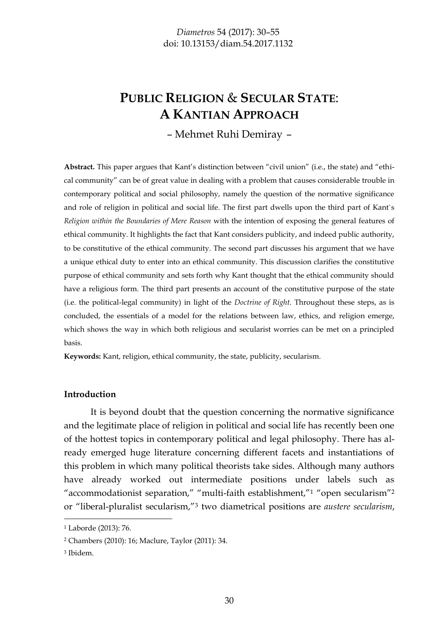# **PUBLIC RELIGION** & **SECULAR STATE**: **A KANTIAN APPROACH**

– Mehmet Ruhi Demiray –

**Abstract.** This paper argues that Kant's distinction between "civil union" (i.e., the state) and "ethical community" can be of great value in dealing with a problem that causes considerable trouble in contemporary political and social philosophy, namely the question of the normative significance and role of religion in political and social life. The first part dwells upon the third part of Kant`s *Religion within the Boundaries of Mere Reason* with the intention of exposing the general features of ethical community. It highlights the fact that Kant considers publicity, and indeed public authority, to be constitutive of the ethical community. The second part discusses his argument that we have a unique ethical duty to enter into an ethical community. This discussion clarifies the constitutive purpose of ethical community and sets forth why Kant thought that the ethical community should have a religious form. The third part presents an account of the constitutive purpose of the state (i.e. the political-legal community) in light of the *Doctrine of Right*. Throughout these steps, as is concluded, the essentials of a model for the relations between law, ethics, and religion emerge, which shows the way in which both religious and secularist worries can be met on a principled basis.

**Keywords:** Kant, religion, ethical community, the state, publicity, secularism.

#### **Introduction**

It is beyond doubt that the question concerning the normative significance and the legitimate place of religion in political and social life has recently been one of the hottest topics in contemporary political and legal philosophy. There has already emerged huge literature concerning different facets and instantiations of this problem in which many political theorists take sides. Although many authors have already worked out intermediate positions under labels such as "accommodationist separation," "multi-faith establishment,"<sup>1</sup> "open secularism"<sup>2</sup> or "liberal-pluralist secularism,"<sup>3</sup> two diametrical positions are *austere secularism*,

3 Ibidem.

<sup>1</sup> Laborde (2013): 76.

<sup>2</sup> Chambers (2010): 16; Maclure, Taylor (2011): 34.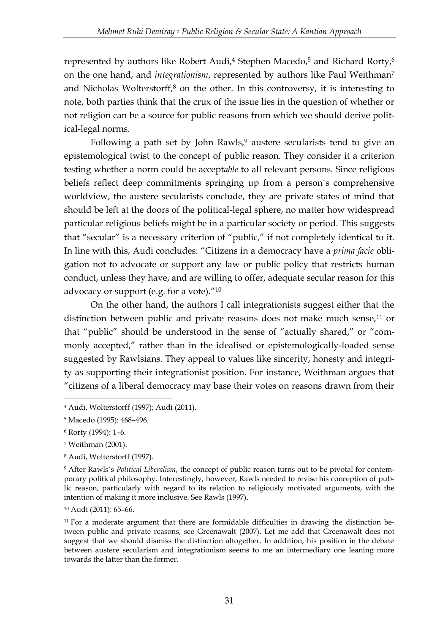represented by authors like Robert Audi,<sup>4</sup> Stephen Macedo,<sup>5</sup> and Richard Rorty,<sup>6</sup> on the one hand, and *integrationism*, represented by authors like Paul Weithman<sup>7</sup> and Nicholas Wolterstorff, $8$  on the other. In this controversy, it is interesting to note, both parties think that the crux of the issue lies in the question of whether or not religion can be a source for public reasons from which we should derive political-legal norms.

Following a path set by John Rawls,<sup>9</sup> austere secularists tend to give an epistemological twist to the concept of public reason. They consider it a criterion testing whether a norm could be accept*able* to all relevant persons. Since religious beliefs reflect deep commitments springing up from a person`s comprehensive worldview, the austere secularists conclude, they are private states of mind that should be left at the doors of the political-legal sphere, no matter how widespread particular religious beliefs might be in a particular society or period. This suggests that "secular" is a necessary criterion of "public," if not completely identical to it. In line with this, Audi concludes: "Citizens in a democracy have a *prima facie* obligation not to advocate or support any law or public policy that restricts human conduct, unless they have, and are willing to offer, adequate secular reason for this advocacy or support (e.g. for a vote)."<sup>10</sup>

On the other hand, the authors I call integrationists suggest either that the distinction between public and private reasons does not make much sense, $11$  or that "public" should be understood in the sense of "actually shared," or "commonly accepted," rather than in the idealised or epistemologically-loaded sense suggested by Rawlsians. They appeal to values like sincerity, honesty and integrity as supporting their integrationist position. For instance, Weithman argues that "citizens of a liberal democracy may base their votes on reasons drawn from their

-

<sup>8</sup> Audi, Wolterstorff (1997).

<sup>10</sup> Audi (2011): 65–66.

<sup>4</sup> Audi, Wolterstorff (1997); Audi (2011).

<sup>5</sup> Macedo (1995): 468–496.

<sup>6</sup> Rorty (1994): 1–6.

<sup>7</sup> Weithman (2001).

<sup>9</sup> After Rawls`s *Political Liberalism*, the concept of public reason turns out to be pivotal for contemporary political philosophy. Interestingly, however, Rawls needed to revise his conception of public reason, particularly with regard to its relation to religiously motivated arguments, with the intention of making it more inclusive. See Rawls (1997).

<sup>&</sup>lt;sup>11</sup> For a moderate argument that there are formidable difficulties in drawing the distinction between public and private reasons, see Greenawalt (2007). Let me add that Greenawalt does not suggest that we should dismiss the distinction altogether. In addition, his position in the debate between austere secularism and integrationism seems to me an intermediary one leaning more towards the latter than the former.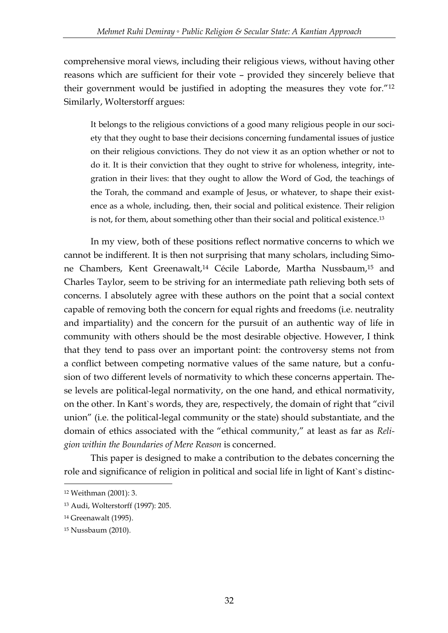comprehensive moral views, including their religious views, without having other reasons which are sufficient for their vote – provided they sincerely believe that their government would be justified in adopting the measures they vote for."<sup>12</sup> Similarly, Wolterstorff argues:

It belongs to the religious convictions of a good many religious people in our society that they ought to base their decisions concerning fundamental issues of justice on their religious convictions. They do not view it as an option whether or not to do it. It is their conviction that they ought to strive for wholeness, integrity, integration in their lives: that they ought to allow the Word of God, the teachings of the Torah, the command and example of Jesus, or whatever, to shape their existence as a whole, including, then, their social and political existence. Their religion is not, for them, about something other than their social and political existence.<sup>13</sup>

In my view, both of these positions reflect normative concerns to which we cannot be indifferent. It is then not surprising that many scholars, including Simone Chambers, Kent Greenawalt,<sup>14</sup> Cécile Laborde, Martha Nussbaum,<sup>15</sup> and Charles Taylor, seem to be striving for an intermediate path relieving both sets of concerns. I absolutely agree with these authors on the point that a social context capable of removing both the concern for equal rights and freedoms (i.e. neutrality and impartiality) and the concern for the pursuit of an authentic way of life in community with others should be the most desirable objective. However, I think that they tend to pass over an important point: the controversy stems not from a conflict between competing normative values of the same nature, but a confusion of two different levels of normativity to which these concerns appertain. These levels are political-legal normativity, on the one hand, and ethical normativity, on the other. In Kant`s words, they are, respectively, the domain of right that "civil union" (i.e. the political-legal community or the state) should substantiate, and the domain of ethics associated with the "ethical community," at least as far as *Religion within the Boundaries of Mere Reason* is concerned.

This paper is designed to make a contribution to the debates concerning the role and significance of religion in political and social life in light of Kant`s distinc-

<sup>12</sup> Weithman (2001): 3.

<sup>13</sup> Audi, Wolterstorff (1997): 205.

<sup>14</sup> Greenawalt (1995).

<sup>15</sup> Nussbaum (2010).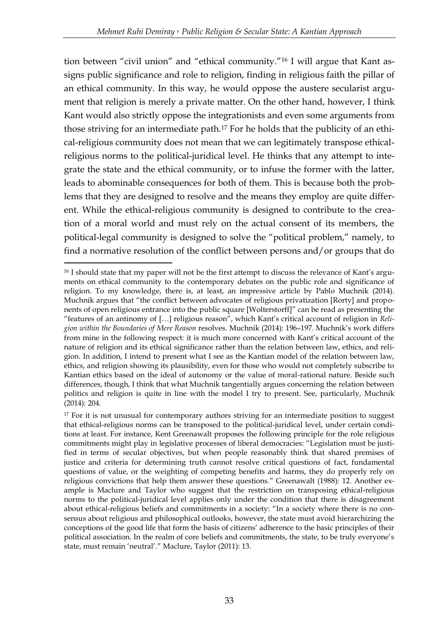tion between "civil union" and "ethical community."<sup>16</sup> I will argue that Kant assigns public significance and role to religion, finding in religious faith the pillar of an ethical community. In this way, he would oppose the austere secularist argument that religion is merely a private matter. On the other hand, however, I think Kant would also strictly oppose the integrationists and even some arguments from those striving for an intermediate path.<sup>17</sup> For he holds that the publicity of an ethical-religious community does not mean that we can legitimately transpose ethicalreligious norms to the political-juridical level. He thinks that any attempt to integrate the state and the ethical community, or to infuse the former with the latter, leads to abominable consequences for both of them. This is because both the problems that they are designed to resolve and the means they employ are quite different. While the ethical-religious community is designed to contribute to the creation of a moral world and must rely on the actual consent of its members, the political-legal community is designed to solve the "political problem," namely, to find a normative resolution of the conflict between persons and/or groups that do

<sup>&</sup>lt;u>.</u> <sup>16</sup> I should state that my paper will not be the first attempt to discuss the relevance of Kant's arguments on ethical community to the contemporary debates on the public role and significance of religion. To my knowledge, there is, at least, an impressive article by Pablo Muchnik (2014). Muchnik argues that "the conflict between advocates of religious privatization [Rorty] and proponents of open religious entrance into the public square [Wolterstorff]" can be read as presenting the "features of an antinomy of […] religious reason", which Kant's critical account of religion in *Religion within the Boundaries of Mere Reason* resolves. Muchnik (2014): 196–197. Muchnik's work differs from mine in the following respect: it is much more concerned with Kant's critical account of the nature of religion and its ethical significance rather than the relation between law, ethics, and religion. In addition, I intend to present what I see as the Kantian model of the relation between law, ethics, and religion showing its plausibility, even for those who would not completely subscribe to Kantian ethics based on the ideal of autonomy or the value of moral-rational nature. Beside such differences, though, I think that what Muchnik tangentially argues concerning the relation between politics and religion is quite in line with the model I try to present. See, particularly, Muchnik (2014): 204.

 $17$  For it is not unusual for contemporary authors striving for an intermediate position to suggest that ethical-religious norms can be transposed to the political-juridical level, under certain conditions at least. For instance, Kent Greenawalt proposes the following principle for the role religious commitments might play in legislative processes of liberal democracies: "Legislation must be justified in terms of secular objectives, but when people reasonably think that shared premises of justice and criteria for determining truth cannot resolve critical questions of fact, fundamental questions of value, or the weighting of competing benefits and harms, they do properly rely on religious convictions that help them answer these questions." Greenawalt (1988): 12. Another example is Maclure and Taylor who suggest that the restriction on transposing ethical-religious norms to the political-juridical level applies only under the condition that there is disagreement about ethical-religious beliefs and commitments in a society: "In a society where there is no consensus about religious and philosophical outlooks, however, the state must avoid hierarchizing the conceptions of the good life that form the basis of citizens' adherence to the basic principles of their political association. In the realm of core beliefs and commitments, the state, to be truly everyone's state, must remain 'neutral'." Maclure, Taylor (2011): 13.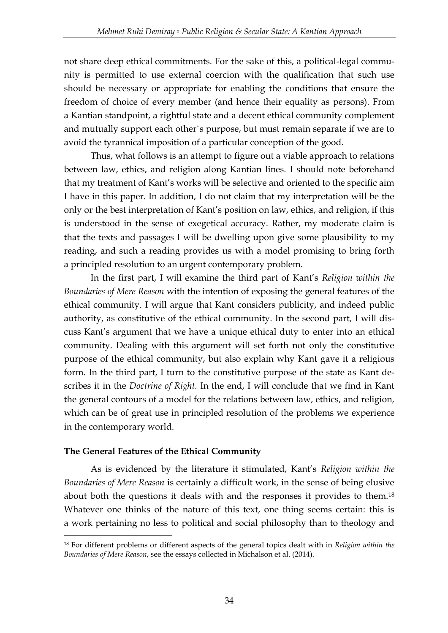not share deep ethical commitments. For the sake of this, a political-legal community is permitted to use external coercion with the qualification that such use should be necessary or appropriate for enabling the conditions that ensure the freedom of choice of every member (and hence their equality as persons). From a Kantian standpoint, a rightful state and a decent ethical community complement and mutually support each other`s purpose, but must remain separate if we are to avoid the tyrannical imposition of a particular conception of the good.

Thus, what follows is an attempt to figure out a viable approach to relations between law, ethics, and religion along Kantian lines. I should note beforehand that my treatment of Kant's works will be selective and oriented to the specific aim I have in this paper. In addition, I do not claim that my interpretation will be the only or the best interpretation of Kant's position on law, ethics, and religion, if this is understood in the sense of exegetical accuracy. Rather, my moderate claim is that the texts and passages I will be dwelling upon give some plausibility to my reading, and such a reading provides us with a model promising to bring forth a principled resolution to an urgent contemporary problem.

In the first part, I will examine the third part of Kant's *Religion within the Boundaries of Mere Reason* with the intention of exposing the general features of the ethical community. I will argue that Kant considers publicity, and indeed public authority, as constitutive of the ethical community. In the second part, I will discuss Kant's argument that we have a unique ethical duty to enter into an ethical community. Dealing with this argument will set forth not only the constitutive purpose of the ethical community, but also explain why Kant gave it a religious form. In the third part, I turn to the constitutive purpose of the state as Kant describes it in the *Doctrine of Right.* In the end, I will conclude that we find in Kant the general contours of a model for the relations between law, ethics, and religion, which can be of great use in principled resolution of the problems we experience in the contemporary world.

#### **The General Features of the Ethical Community**

<u>.</u>

As is evidenced by the literature it stimulated, Kant's *Religion within the Boundaries of Mere Reason* is certainly a difficult work, in the sense of being elusive about both the questions it deals with and the responses it provides to them.<sup>18</sup> Whatever one thinks of the nature of this text, one thing seems certain: this is a work pertaining no less to political and social philosophy than to theology and

<sup>18</sup> For different problems or different aspects of the general topics dealt with in *Religion within the Boundaries of Mere Reason*, see the essays collected in Michalson et al. (2014).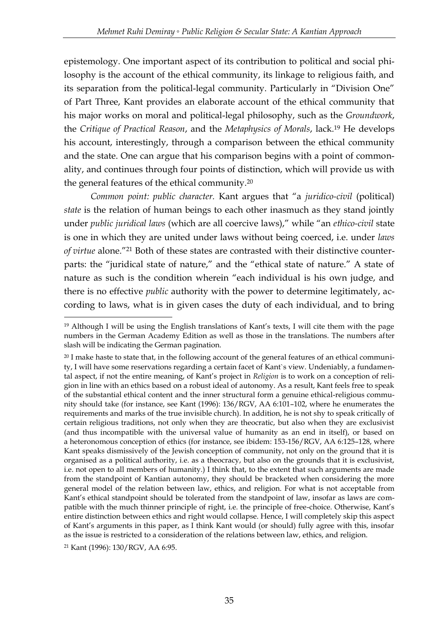epistemology. One important aspect of its contribution to political and social philosophy is the account of the ethical community, its linkage to religious faith, and its separation from the political-legal community. Particularly in "Division One" of Part Three, Kant provides an elaborate account of the ethical community that his major works on moral and political-legal philosophy, such as the *Groundwork*, the *Critique of Practical Reason*, and the *Metaphysics of Morals*, lack.<sup>19</sup> He develops his account, interestingly, through a comparison between the ethical community and the state. One can argue that his comparison begins with a point of commonality, and continues through four points of distinction, which will provide us with the general features of the ethical community.<sup>20</sup>

*Common point: public character.* Kant argues that "a *juridico-civil* (political) *state* is the relation of human beings to each other inasmuch as they stand jointly under *public juridical laws* (which are all coercive laws)," while "an *ethico-civil* state is one in which they are united under laws without being coerced, i.e. under *laws of virtue* alone."<sup>21</sup> Both of these states are contrasted with their distinctive counterparts: the "juridical state of nature," and the "ethical state of nature." A state of nature as such is the condition wherein "each individual is his own judge, and there is no effective *public* authority with the power to determine legitimately, according to laws, what is in given cases the duty of each individual, and to bring

<sup>-</sup> $19$  Although I will be using the English translations of Kant's texts, I will cite them with the page numbers in the German Academy Edition as well as those in the translations. The numbers after slash will be indicating the German pagination.

 $20$  I make haste to state that, in the following account of the general features of an ethical community, I will have some reservations regarding a certain facet of Kant`s view. Undeniably, a fundamental aspect, if not the entire meaning, of Kant's project in *Religion* is to work on a conception of religion in line with an ethics based on a robust ideal of autonomy. As a result, Kant feels free to speak of the substantial ethical content and the inner structural form a genuine ethical-religious community should take (for instance, see Kant (1996): 136/RGV, AA 6:101–102, where he enumerates the requirements and marks of the true invisible church). In addition, he is not shy to speak critically of certain religious traditions, not only when they are theocratic, but also when they are exclusivist (and thus incompatible with the universal value of humanity as an end in itself), or based on a heteronomous conception of ethics (for instance, see ibidem: 153-156/RGV, AA 6:125–128, where Kant speaks dismissively of the Jewish conception of community, not only on the ground that it is organised as a political authority, i.e. as a theocracy, but also on the grounds that it is exclusivist, i.e. not open to all members of humanity.) I think that, to the extent that such arguments are made from the standpoint of Kantian autonomy, they should be bracketed when considering the more general model of the relation between law, ethics, and religion. For what is not acceptable from Kant's ethical standpoint should be tolerated from the standpoint of law, insofar as laws are compatible with the much thinner principle of right, i.e. the principle of free-choice. Otherwise, Kant's entire distinction between ethics and right would collapse. Hence, I will completely skip this aspect of Kant's arguments in this paper, as I think Kant would (or should) fully agree with this, insofar as the issue is restricted to a consideration of the relations between law, ethics, and religion.

<sup>21</sup> Kant (1996): 130/RGV, AA 6:95.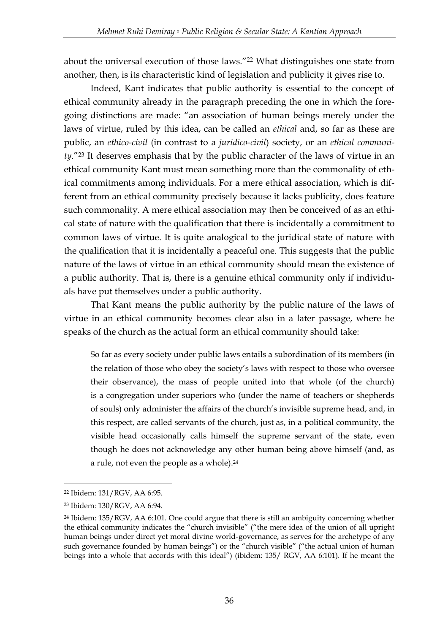about the universal execution of those laws."<sup>22</sup> What distinguishes one state from another, then, is its characteristic kind of legislation and publicity it gives rise to.

Indeed, Kant indicates that public authority is essential to the concept of ethical community already in the paragraph preceding the one in which the foregoing distinctions are made: "an association of human beings merely under the laws of virtue, ruled by this idea, can be called an *ethical* and, so far as these are public, an *ethico-civil* (in contrast to a *juridico-civil*) society, or an *ethical community*."<sup>23</sup> It deserves emphasis that by the public character of the laws of virtue in an ethical community Kant must mean something more than the commonality of ethical commitments among individuals. For a mere ethical association, which is different from an ethical community precisely because it lacks publicity, does feature such commonality. A mere ethical association may then be conceived of as an ethical state of nature with the qualification that there is incidentally a commitment to common laws of virtue. It is quite analogical to the juridical state of nature with the qualification that it is incidentally a peaceful one. This suggests that the public nature of the laws of virtue in an ethical community should mean the existence of a public authority. That is, there is a genuine ethical community only if individuals have put themselves under a public authority.

That Kant means the public authority by the public nature of the laws of virtue in an ethical community becomes clear also in a later passage, where he speaks of the church as the actual form an ethical community should take:

So far as every society under public laws entails a subordination of its members (in the relation of those who obey the society's laws with respect to those who oversee their observance), the mass of people united into that whole (of the church) is a congregation under superiors who (under the name of teachers or shepherds of souls) only administer the affairs of the church's invisible supreme head, and, in this respect, are called servants of the church, just as, in a political community, the visible head occasionally calls himself the supreme servant of the state, even though he does not acknowledge any other human being above himself (and, as a rule, not even the people as a whole).<sup>24</sup>

<sup>22</sup> Ibidem: 131/RGV, AA 6:95.

<sup>23</sup> Ibidem: 130/RGV, AA 6:94.

<sup>&</sup>lt;sup>24</sup> Ibidem: 135/RGV, AA 6:101. One could argue that there is still an ambiguity concerning whether the ethical community indicates the "church invisible" ("the mere idea of the union of all upright human beings under direct yet moral divine world-governance, as serves for the archetype of any such governance founded by human beings") or the "church visible" ("the actual union of human beings into a whole that accords with this ideal") (ibidem: 135/ RGV, AA 6:101). If he meant the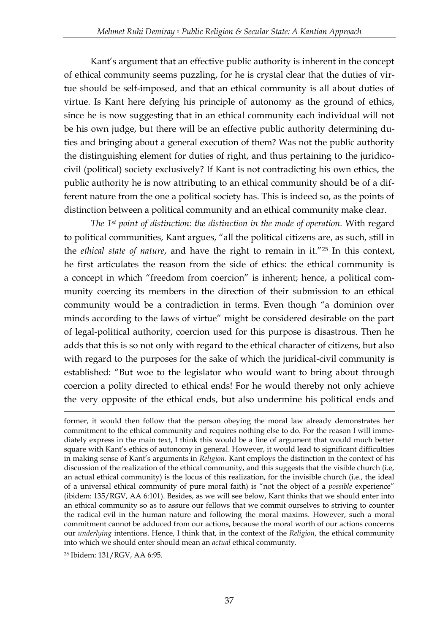Kant's argument that an effective public authority is inherent in the concept of ethical community seems puzzling, for he is crystal clear that the duties of virtue should be self-imposed, and that an ethical community is all about duties of virtue. Is Kant here defying his principle of autonomy as the ground of ethics, since he is now suggesting that in an ethical community each individual will not be his own judge, but there will be an effective public authority determining duties and bringing about a general execution of them? Was not the public authority the distinguishing element for duties of right, and thus pertaining to the juridicocivil (political) society exclusively? If Kant is not contradicting his own ethics, the public authority he is now attributing to an ethical community should be of a different nature from the one a political society has. This is indeed so, as the points of distinction between a political community and an ethical community make clear.

*The 1st point of distinction: the distinction in the mode of operation.* With regard to political communities, Kant argues, "all the political citizens are, as such, still in the *ethical state of nature*, and have the right to remain in it."<sup>25</sup> In this context, he first articulates the reason from the side of ethics: the ethical community is a concept in which "freedom from coercion" is inherent; hence, a political community coercing its members in the direction of their submission to an ethical community would be a contradiction in terms. Even though "a dominion over minds according to the laws of virtue" might be considered desirable on the part of legal-political authority, coercion used for this purpose is disastrous. Then he adds that this is so not only with regard to the ethical character of citizens, but also with regard to the purposes for the sake of which the juridical-civil community is established: "But woe to the legislator who would want to bring about through coercion a polity directed to ethical ends! For he would thereby not only achieve the very opposite of the ethical ends, but also undermine his political ends and

former, it would then follow that the person obeying the moral law already demonstrates her commitment to the ethical community and requires nothing else to do. For the reason I will immediately express in the main text, I think this would be a line of argument that would much better square with Kant's ethics of autonomy in general. However, it would lead to significant difficulties in making sense of Kant's arguments in *Religion*. Kant employs the distinction in the context of his discussion of the realization of the ethical community, and this suggests that the visible church (i.e, an actual ethical community) is the locus of this realization, for the invisible church (i.e., the ideal of a universal ethical community of pure moral faith) is "not the object of a *possible* experience" (ibidem: 135/RGV, AA 6:101). Besides, as we will see below, Kant thinks that we should enter into an ethical community so as to assure our fellows that we commit ourselves to striving to counter the radical evil in the human nature and following the moral maxims. However, such a moral commitment cannot be adduced from our actions, because the moral worth of our actions concerns our *underlying* intentions. Hence, I think that, in the context of the *Religion*, the ethical community into which we should enter should mean an *actual* ethical community.

<sup>25</sup> Ibidem: 131/RGV, AA 6:95.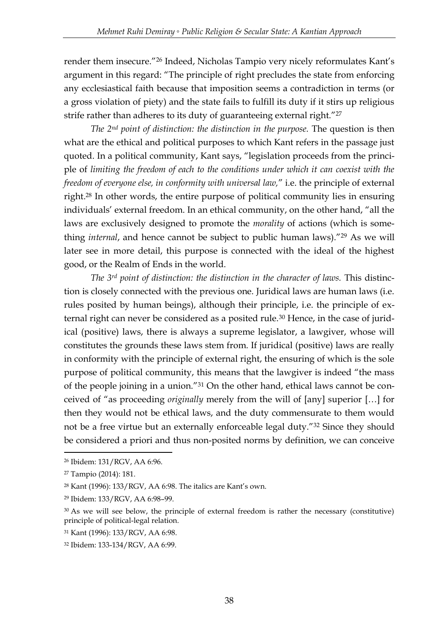render them insecure."<sup>26</sup> Indeed, Nicholas Tampio very nicely reformulates Kant's argument in this regard: "The principle of right precludes the state from enforcing any ecclesiastical faith because that imposition seems a contradiction in terms (or a gross violation of piety) and the state fails to fulfill its duty if it stirs up religious strife rather than adheres to its duty of guaranteeing external right."<sup>27</sup>

*The 2nd point of distinction: the distinction in the purpose.* The question is then what are the ethical and political purposes to which Kant refers in the passage just quoted. In a political community, Kant says, "legislation proceeds from the principle of *limiting the freedom of each to the conditions under which it can coexist with the freedom of everyone else, in conformity with universal law,*" i.e. the principle of external right.<sup>28</sup> In other words, the entire purpose of political community lies in ensuring individuals' external freedom. In an ethical community, on the other hand, "all the laws are exclusively designed to promote the *morality* of actions (which is something *internal*, and hence cannot be subject to public human laws)."<sup>29</sup> As we will later see in more detail, this purpose is connected with the ideal of the highest good, or the Realm of Ends in the world.

*The 3rd point of distinction: the distinction in the character of laws.* This distinction is closely connected with the previous one. Juridical laws are human laws (i.e. rules posited by human beings), although their principle, i.e. the principle of external right can never be considered as a posited rule.<sup>30</sup> Hence, in the case of juridical (positive) laws, there is always a supreme legislator, a lawgiver, whose will constitutes the grounds these laws stem from. If juridical (positive) laws are really in conformity with the principle of external right, the ensuring of which is the sole purpose of political community, this means that the lawgiver is indeed "the mass of the people joining in a union."<sup>31</sup> On the other hand, ethical laws cannot be conceived of "as proceeding *originally* merely from the will of [any] superior […] for then they would not be ethical laws, and the duty commensurate to them would not be a free virtue but an externally enforceable legal duty."<sup>32</sup> Since they should be considered a priori and thus non-posited norms by definition, we can conceive

<sup>26</sup> Ibidem: 131/RGV, AA 6:96.

<sup>27</sup> Tampio (2014): 181.

<sup>28</sup> Kant (1996): 133/RGV, AA 6:98. The italics are Kant's own.

<sup>29</sup> Ibidem: 133/RGV, AA 6:98–99.

<sup>&</sup>lt;sup>30</sup> As we will see below, the principle of external freedom is rather the necessary (constitutive) principle of political-legal relation.

<sup>31</sup> Kant (1996): 133/RGV, AA 6:98.

<sup>32</sup> Ibidem: 133-134/RGV, AA 6:99.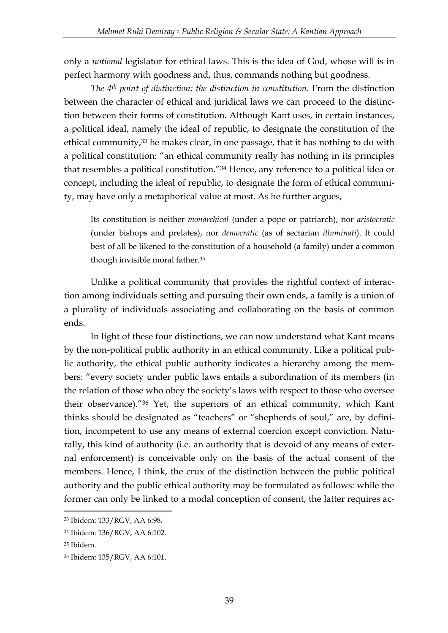only a *notional* legislator for ethical laws. This is the idea of God, whose will is in perfect harmony with goodness and, thus, commands nothing but goodness.

*The 4th point of distinction: the distinction in constitution.* From the distinction between the character of ethical and juridical laws we can proceed to the distinction between their forms of constitution. Although Kant uses, in certain instances, a political ideal, namely the ideal of republic, to designate the constitution of the ethical community,<sup>33</sup> he makes clear, in one passage, that it has nothing to do with a political constitution: "an ethical community really has nothing in its principles that resembles a political constitution."<sup>34</sup> Hence, any reference to a political idea or concept, including the ideal of republic, to designate the form of ethical community, may have only a metaphorical value at most. As he further argues,

Its constitution is neither *monarchical* (under a pope or patriarch), nor *aristocratic* (under bishops and prelates), nor *democratic* (as of sectarian *illuminati*). It could best of all be likened to the constitution of a household (a family) under a common though invisible moral father.<sup>35</sup>

Unlike a political community that provides the rightful context of interaction among individuals setting and pursuing their own ends, a family is a union of a plurality of individuals associating and collaborating on the basis of common ends.

In light of these four distinctions, we can now understand what Kant means by the non-political public authority in an ethical community. Like a political public authority, the ethical public authority indicates a hierarchy among the members: "every society under public laws entails a subordination of its members (in the relation of those who obey the society's laws with respect to those who oversee their observance)."<sup>36</sup> Yet, the superiors of an ethical community, which Kant thinks should be designated as "teachers" or "shepherds of soul," are, by definition, incompetent to use any means of external coercion except conviction. Naturally, this kind of authority (i.e. an authority that is devoid of any means of external enforcement) is conceivable only on the basis of the actual consent of the members. Hence, I think, the crux of the distinction between the public political authority and the public ethical authority may be formulated as follows: while the former can only be linked to a modal conception of consent, the latter requires ac-

<sup>33</sup> Ibidem: 133/RGV, AA 6:98.

<sup>34</sup> Ibidem: 136/RGV, AA 6:102.

<sup>35</sup> Ibidem.

<sup>36</sup> Ibidem: 135/RGV, AA 6:101.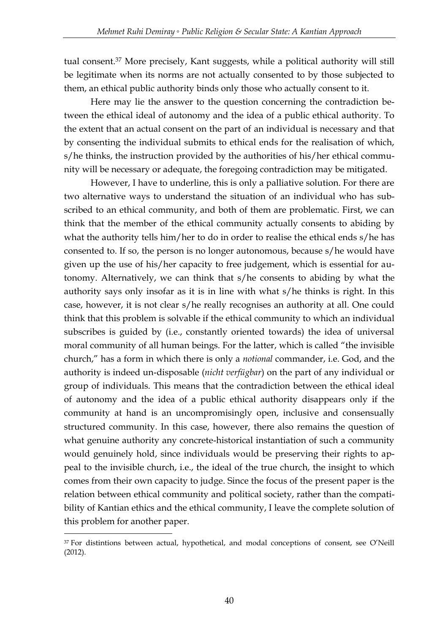tual consent.<sup>37</sup> More precisely, Kant suggests, while a political authority will still be legitimate when its norms are not actually consented to by those subjected to them, an ethical public authority binds only those who actually consent to it.

Here may lie the answer to the question concerning the contradiction between the ethical ideal of autonomy and the idea of a public ethical authority. To the extent that an actual consent on the part of an individual is necessary and that by consenting the individual submits to ethical ends for the realisation of which, s/he thinks, the instruction provided by the authorities of his/her ethical community will be necessary or adequate, the foregoing contradiction may be mitigated.

However, I have to underline, this is only a palliative solution. For there are two alternative ways to understand the situation of an individual who has subscribed to an ethical community, and both of them are problematic. First, we can think that the member of the ethical community actually consents to abiding by what the authority tells him/her to do in order to realise the ethical ends s/he has consented to. If so, the person is no longer autonomous, because s/he would have given up the use of his/her capacity to free judgement, which is essential for autonomy. Alternatively, we can think that s/he consents to abiding by what the authority says only insofar as it is in line with what s/he thinks is right. In this case, however, it is not clear s/he really recognises an authority at all. One could think that this problem is solvable if the ethical community to which an individual subscribes is guided by (i.e., constantly oriented towards) the idea of universal moral community of all human beings. For the latter, which is called "the invisible church," has a form in which there is only a *notional* commander, i.e. God, and the authority is indeed un-disposable (*nicht verfügbar*) on the part of any individual or group of individuals. This means that the contradiction between the ethical ideal of autonomy and the idea of a public ethical authority disappears only if the community at hand is an uncompromisingly open, inclusive and consensually structured community. In this case, however, there also remains the question of what genuine authority any concrete-historical instantiation of such a community would genuinely hold, since individuals would be preserving their rights to appeal to the invisible church, i.e., the ideal of the true church, the insight to which comes from their own capacity to judge. Since the focus of the present paper is the relation between ethical community and political society, rather than the compatibility of Kantian ethics and the ethical community, I leave the complete solution of this problem for another paper.

<sup>&</sup>lt;sup>37</sup> For distintions between actual, hypothetical, and modal conceptions of consent, see O'Neill (2012).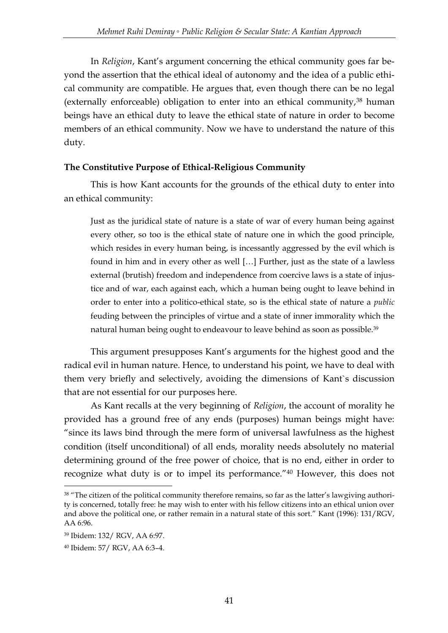In *Religion*, Kant's argument concerning the ethical community goes far beyond the assertion that the ethical ideal of autonomy and the idea of a public ethical community are compatible. He argues that, even though there can be no legal (externally enforceable) obligation to enter into an ethical community,<sup>38</sup> human beings have an ethical duty to leave the ethical state of nature in order to become members of an ethical community. Now we have to understand the nature of this duty.

#### **The Constitutive Purpose of Ethical-Religious Community**

This is how Kant accounts for the grounds of the ethical duty to enter into an ethical community:

Just as the juridical state of nature is a state of war of every human being against every other, so too is the ethical state of nature one in which the good principle, which resides in every human being, is incessantly aggressed by the evil which is found in him and in every other as well […] Further, just as the state of a lawless external (brutish) freedom and independence from coercive laws is a state of injustice and of war, each against each, which a human being ought to leave behind in order to enter into a politico-ethical state, so is the ethical state of nature a *public* feuding between the principles of virtue and a state of inner immorality which the natural human being ought to endeavour to leave behind as soon as possible.<sup>39</sup>

This argument presupposes Kant's arguments for the highest good and the radical evil in human nature. Hence, to understand his point, we have to deal with them very briefly and selectively, avoiding the dimensions of Kant`s discussion that are not essential for our purposes here.

As Kant recalls at the very beginning of *Religion*, the account of morality he provided has a ground free of any ends (purposes) human beings might have: "since its laws bind through the mere form of universal lawfulness as the highest condition (itself unconditional) of all ends, morality needs absolutely no material determining ground of the free power of choice, that is no end, either in order to recognize what duty is or to impel its performance."<sup>40</sup> However, this does not

<u>.</u>

<sup>38</sup> "The citizen of the political community therefore remains, so far as the latter's lawgiving authority is concerned, totally free: he may wish to enter with his fellow citizens into an ethical union over and above the political one, or rather remain in a natural state of this sort." Kant (1996): 131/RGV, AA 6:96.

<sup>39</sup> Ibidem: 132/ RGV, AA 6:97.

<sup>40</sup> Ibidem: 57/ RGV, AA 6:3–4.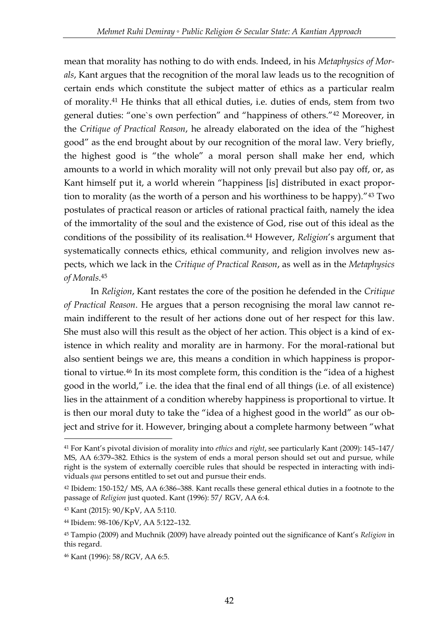mean that morality has nothing to do with ends. Indeed, in his *Metaphysics of Morals*, Kant argues that the recognition of the moral law leads us to the recognition of certain ends which constitute the subject matter of ethics as a particular realm of morality.<sup>41</sup> He thinks that all ethical duties, i.e. duties of ends, stem from two general duties: "one`s own perfection" and "happiness of others."<sup>42</sup> Moreover, in the *Critique of Practical Reason*, he already elaborated on the idea of the "highest good" as the end brought about by our recognition of the moral law. Very briefly, the highest good is "the whole" a moral person shall make her end, which amounts to a world in which morality will not only prevail but also pay off, or, as Kant himself put it, a world wherein "happiness [is] distributed in exact proportion to morality (as the worth of a person and his worthiness to be happy)."<sup>43</sup> Two postulates of practical reason or articles of rational practical faith, namely the idea of the immortality of the soul and the existence of God, rise out of this ideal as the conditions of the possibility of its realisation.<sup>44</sup> However, *Religion*'s argument that systematically connects ethics, ethical community, and religion involves new aspects, which we lack in the *Critique of Practical Reason*, as well as in the *Metaphysics of Morals*. 45

In *Religion*, Kant restates the core of the position he defended in the *Critique of Practical Reason*. He argues that a person recognising the moral law cannot remain indifferent to the result of her actions done out of her respect for this law. She must also will this result as the object of her action. This object is a kind of existence in which reality and morality are in harmony. For the moral-rational but also sentient beings we are, this means a condition in which happiness is proportional to virtue.<sup>46</sup> In its most complete form, this condition is the "idea of a highest good in the world," i.e. the idea that the final end of all things (i.e. of all existence) lies in the attainment of a condition whereby happiness is proportional to virtue. It is then our moral duty to take the "idea of a highest good in the world" as our object and strive for it. However, bringing about a complete harmony between "what

<sup>41</sup> For Kant's pivotal division of morality into *ethics* and *right*, see particularly Kant (2009): 145–147/ MS, AA 6:379–382. Ethics is the system of ends a moral person should set out and pursue, while right is the system of externally coercible rules that should be respected in interacting with individuals *qua* persons entitled to set out and pursue their ends.

<sup>42</sup> Ibidem: 150-152/ MS, AA 6:386–388. Kant recalls these general ethical duties in a footnote to the passage of *Religion* just quoted. Kant (1996): 57/ RGV, AA 6:4.

<sup>43</sup> Kant (2015): 90/KpV, AA 5:110.

<sup>44</sup> Ibidem: 98-106/KpV, AA 5:122–132.

<sup>45</sup> Tampio (2009) and Muchnik (2009) have already pointed out the significance of Kant's *Religion* in this regard.

<sup>46</sup> Kant (1996): 58/RGV, AA 6:5.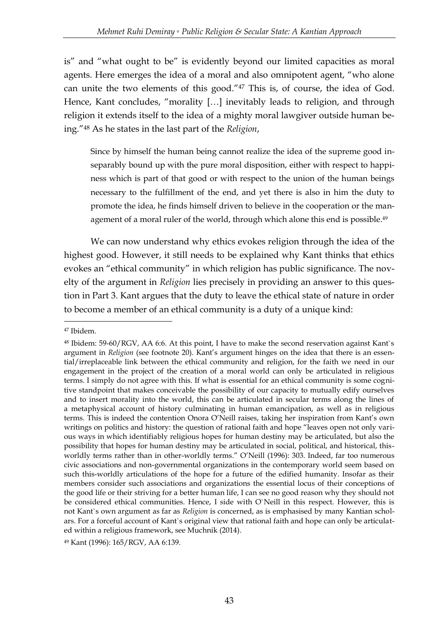is" and "what ought to be" is evidently beyond our limited capacities as moral agents. Here emerges the idea of a moral and also omnipotent agent, "who alone can unite the two elements of this good."<sup>47</sup> This is, of course, the idea of God. Hence, Kant concludes, "morality [...] inevitably leads to religion, and through religion it extends itself to the idea of a mighty moral lawgiver outside human being."<sup>48</sup> As he states in the last part of the *Religion*,

Since by himself the human being cannot realize the idea of the supreme good inseparably bound up with the pure moral disposition, either with respect to happiness which is part of that good or with respect to the union of the human beings necessary to the fulfillment of the end, and yet there is also in him the duty to promote the idea, he finds himself driven to believe in the cooperation or the management of a moral ruler of the world, through which alone this end is possible.<sup>49</sup>

We can now understand why ethics evokes religion through the idea of the highest good. However, it still needs to be explained why Kant thinks that ethics evokes an "ethical community" in which religion has public significance. The novelty of the argument in *Religion* lies precisely in providing an answer to this question in Part 3. Kant argues that the duty to leave the ethical state of nature in order to become a member of an ethical community is a duty of a unique kind:

<sup>47</sup> Ibidem.

<sup>48</sup> Ibidem: 59-60/RGV, AA 6:6. At this point, I have to make the second reservation against Kant`s argument in *Religion* (see footnote 20). Kant's argument hinges on the idea that there is an essential/irreplaceable link between the ethical community and religion, for the faith we need in our engagement in the project of the creation of a moral world can only be articulated in religious terms. I simply do not agree with this. If what is essential for an ethical community is some cognitive standpoint that makes conceivable the possibility of our capacity to mutually edify ourselves and to insert morality into the world, this can be articulated in secular terms along the lines of a metaphysical account of history culminating in human emancipation, as well as in religious terms. This is indeed the contention Onora O'Neill raises, taking her inspiration from Kant's own writings on politics and history: the question of rational faith and hope "leaves open not only various ways in which identifiably religious hopes for human destiny may be articulated, but also the possibility that hopes for human destiny may be articulated in social, political, and historical, thisworldly terms rather than in other-worldly terms." O'Neill (1996): 303. Indeed, far too numerous civic associations and non-governmental organizations in the contemporary world seem based on such this-worldly articulations of the hope for a future of the edified humanity. Insofar as their members consider such associations and organizations the essential locus of their conceptions of the good life or their striving for a better human life, I can see no good reason why they should not be considered ethical communities. Hence, I side with O`Neill in this respect. However, this is not Kant`s own argument as far as *Religion* is concerned, as is emphasised by many Kantian scholars. For a forceful account of Kant`s original view that rational faith and hope can only be articulated within a religious framework, see Muchnik (2014).

<sup>49</sup> Kant (1996): 165/RGV, AA 6:139.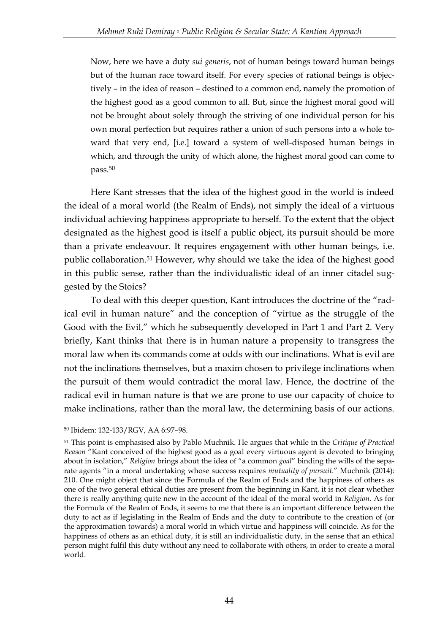Now, here we have a duty *sui generis*, not of human beings toward human beings but of the human race toward itself. For every species of rational beings is objectively – in the idea of reason – destined to a common end, namely the promotion of the highest good as a good common to all. But, since the highest moral good will not be brought about solely through the striving of one individual person for his own moral perfection but requires rather a union of such persons into a whole toward that very end, [i.e.] toward a system of well-disposed human beings in which, and through the unity of which alone, the highest moral good can come to pass.<sup>50</sup>

Here Kant stresses that the idea of the highest good in the world is indeed the ideal of a moral world (the Realm of Ends), not simply the ideal of a virtuous individual achieving happiness appropriate to herself. To the extent that the object designated as the highest good is itself a public object, its pursuit should be more than a private endeavour. It requires engagement with other human beings, i.e. public collaboration.<sup>51</sup> However, why should we take the idea of the highest good in this public sense, rather than the individualistic ideal of an inner citadel suggested by the Stoics?

To deal with this deeper question, Kant introduces the doctrine of the "radical evil in human nature" and the conception of "virtue as the struggle of the Good with the Evil," which he subsequently developed in Part 1 and Part 2. Very briefly, Kant thinks that there is in human nature a propensity to transgress the moral law when its commands come at odds with our inclinations. What is evil are not the inclinations themselves, but a maxim chosen to privilege inclinations when the pursuit of them would contradict the moral law. Hence, the doctrine of the radical evil in human nature is that we are prone to use our capacity of choice to make inclinations, rather than the moral law, the determining basis of our actions.

<sup>50</sup> Ibidem: 132-133/RGV, AA 6:97–98.

<sup>51</sup> This point is emphasised also by Pablo Muchnik. He argues that while in the *Critique of Practical Reason* "Kant conceived of the highest good as a goal every virtuous agent is devoted to bringing about in isolation," *Religion* brings about the idea of "a common *goal*" binding the wills of the separate agents "in a moral undertaking whose success requires *mutuality of pursuit*." Muchnik (2014): 210. One might object that since the Formula of the Realm of Ends and the happiness of others as one of the two general ethical duties are present from the beginning in Kant, it is not clear whether there is really anything quite new in the account of the ideal of the moral world in *Religion*. As for the Formula of the Realm of Ends, it seems to me that there is an important difference between the duty to act as if legislating in the Realm of Ends and the duty to contribute to the creation of (or the approximation towards) a moral world in which virtue and happiness will coincide. As for the happiness of others as an ethical duty, it is still an individualistic duty, in the sense that an ethical person might fulfil this duty without any need to collaborate with others, in order to create a moral world.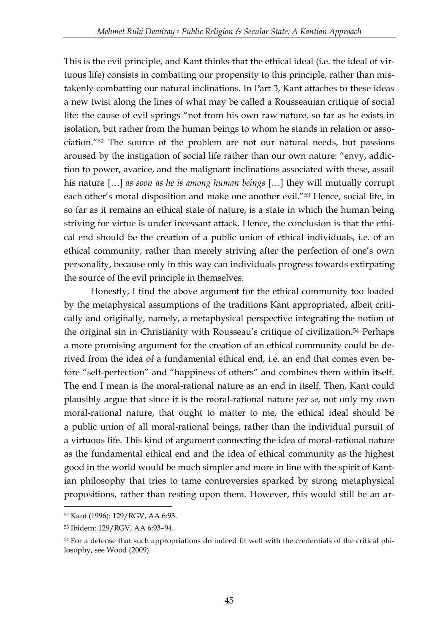This is the evil principle, and Kant thinks that the ethical ideal (i.e. the ideal of virtuous life) consists in combatting our propensity to this principle, rather than mistakenly combatting our natural inclinations. In Part 3, Kant attaches to these ideas a new twist along the lines of what may be called a Rousseauian critique of social life: the cause of evil springs "not from his own raw nature, so far as he exists in isolation, but rather from the human beings to whom he stands in relation or association."<sup>52</sup> The source of the problem are not our natural needs, but passions aroused by the instigation of social life rather than our own nature: "envy, addiction to power, avarice, and the malignant inclinations associated with these, assail his nature […] *as soon as he is among human beings* […] they will mutually corrupt each other's moral disposition and make one another evil."<sup>53</sup> Hence, social life, in so far as it remains an ethical state of nature, is a state in which the human being striving for virtue is under incessant attack. Hence, the conclusion is that the ethical end should be the creation of a public union of ethical individuals, i.e. of an ethical community, rather than merely striving after the perfection of one's own personality, because only in this way can individuals progress towards extirpating the source of the evil principle in themselves.

Honestly, I find the above argument for the ethical community too loaded by the metaphysical assumptions of the traditions Kant appropriated, albeit critically and originally, namely, a metaphysical perspective integrating the notion of the original sin in Christianity with Rousseau's critique of civilization.<sup>54</sup> Perhaps a more promising argument for the creation of an ethical community could be derived from the idea of a fundamental ethical end, i.e. an end that comes even before "self-perfection" and "happiness of others" and combines them within itself. The end I mean is the moral-rational nature as an end in itself. Then, Kant could plausibly argue that since it is the moral-rational nature *per se*, not only my own moral-rational nature, that ought to matter to me, the ethical ideal should be a public union of all moral-rational beings, rather than the individual pursuit of a virtuous life. This kind of argument connecting the idea of moral-rational nature as the fundamental ethical end and the idea of ethical community as the highest good in the world would be much simpler and more in line with the spirit of Kantian philosophy that tries to tame controversies sparked by strong metaphysical propositions, rather than resting upon them. However, this would still be an ar-

<sup>52</sup> Kant (1996): 129/RGV, AA 6:93.

<sup>53</sup> Ibidem: 129/RGV, AA 6:93–94.

<sup>&</sup>lt;sup>54</sup> For a defense that such appropriations do indeed fit well with the credentials of the critical philosophy, see Wood (2009).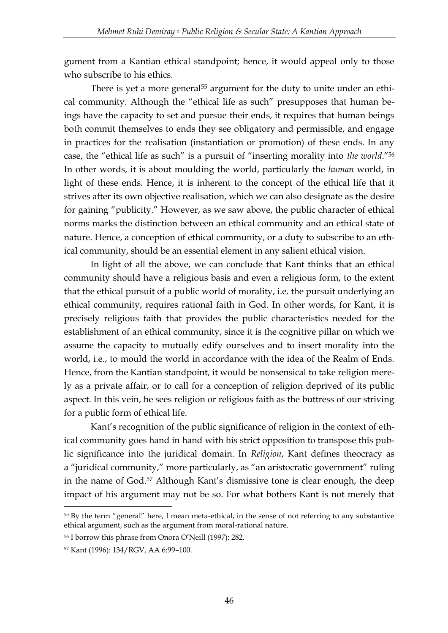gument from a Kantian ethical standpoint; hence, it would appeal only to those who subscribe to his ethics.

There is yet a more general<sup>55</sup> argument for the duty to unite under an ethical community. Although the "ethical life as such" presupposes that human beings have the capacity to set and pursue their ends, it requires that human beings both commit themselves to ends they see obligatory and permissible, and engage in practices for the realisation (instantiation or promotion) of these ends. In any case, the "ethical life as such" is a pursuit of "inserting morality into *the world*."<sup>56</sup> In other words, it is about moulding the world, particularly the *human* world, in light of these ends. Hence, it is inherent to the concept of the ethical life that it strives after its own objective realisation, which we can also designate as the desire for gaining "publicity." However, as we saw above, the public character of ethical norms marks the distinction between an ethical community and an ethical state of nature. Hence, a conception of ethical community, or a duty to subscribe to an ethical community, should be an essential element in any salient ethical vision.

In light of all the above, we can conclude that Kant thinks that an ethical community should have a religious basis and even a religious form, to the extent that the ethical pursuit of a public world of morality, i.e. the pursuit underlying an ethical community, requires rational faith in God. In other words, for Kant, it is precisely religious faith that provides the public characteristics needed for the establishment of an ethical community, since it is the cognitive pillar on which we assume the capacity to mutually edify ourselves and to insert morality into the world, i.e., to mould the world in accordance with the idea of the Realm of Ends. Hence, from the Kantian standpoint, it would be nonsensical to take religion merely as a private affair, or to call for a conception of religion deprived of its public aspect. In this vein, he sees religion or religious faith as the buttress of our striving for a public form of ethical life.

Kant's recognition of the public significance of religion in the context of ethical community goes hand in hand with his strict opposition to transpose this public significance into the juridical domain. In *Religion*, Kant defines theocracy as a "juridical community," more particularly, as "an aristocratic government" ruling in the name of God.<sup>57</sup> Although Kant's dismissive tone is clear enough, the deep impact of his argument may not be so. For what bothers Kant is not merely that

<sup>55</sup> By the term "general" here, I mean meta-ethical, in the sense of not referring to any substantive ethical argument, such as the argument from moral-rational nature.

<sup>56</sup> I borrow this phrase from Onora O'Neill (1997): 282.

<sup>57</sup> Kant (1996): 134/RGV, AA 6:99–100.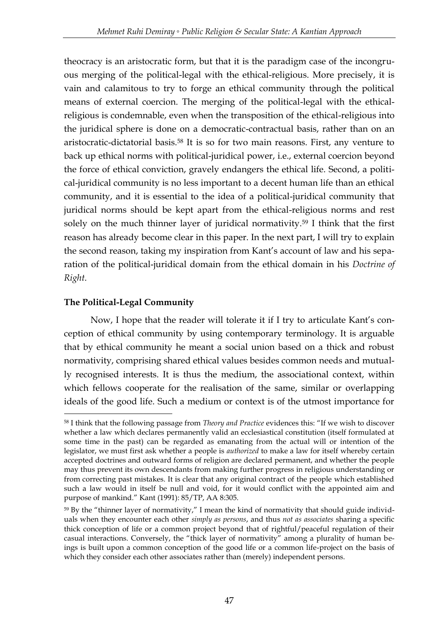theocracy is an aristocratic form, but that it is the paradigm case of the incongruous merging of the political-legal with the ethical-religious. More precisely, it is vain and calamitous to try to forge an ethical community through the political means of external coercion. The merging of the political-legal with the ethicalreligious is condemnable, even when the transposition of the ethical-religious into the juridical sphere is done on a democratic-contractual basis, rather than on an aristocratic-dictatorial basis.<sup>58</sup> It is so for two main reasons. First, any venture to back up ethical norms with political-juridical power, i.e., external coercion beyond the force of ethical conviction, gravely endangers the ethical life. Second, a political-juridical community is no less important to a decent human life than an ethical community, and it is essential to the idea of a political-juridical community that juridical norms should be kept apart from the ethical-religious norms and rest solely on the much thinner layer of juridical normativity.<sup>59</sup> I think that the first reason has already become clear in this paper. In the next part, I will try to explain the second reason, taking my inspiration from Kant's account of law and his separation of the political-juridical domain from the ethical domain in his *Doctrine of Right*.

## **The Political-Legal Community**

-

Now, I hope that the reader will tolerate it if I try to articulate Kant's conception of ethical community by using contemporary terminology. It is arguable that by ethical community he meant a social union based on a thick and robust normativity, comprising shared ethical values besides common needs and mutually recognised interests. It is thus the medium, the associational context, within which fellows cooperate for the realisation of the same, similar or overlapping ideals of the good life. Such a medium or context is of the utmost importance for

<sup>58</sup> I think that the following passage from *Theory and Practice* evidences this: "If we wish to discover whether a law which declares permanently valid an ecclesiastical constitution (itself formulated at some time in the past) can be regarded as emanating from the actual will or intention of the legislator, we must first ask whether a people is *authorized* to make a law for itself whereby certain accepted doctrines and outward forms of religion are declared permanent, and whether the people may thus prevent its own descendants from making further progress in religious understanding or from correcting past mistakes. It is clear that any original contract of the people which established such a law would in itself be null and void, for it would conflict with the appointed aim and purpose of mankind." Kant (1991): 85/TP, AA 8:305.

<sup>59</sup> By the "thinner layer of normativity," I mean the kind of normativity that should guide individuals when they encounter each other *simply as persons*, and thus *not as associates* sharing a specific thick conception of life or a common project beyond that of rightful/peaceful regulation of their casual interactions. Conversely, the "thick layer of normativity" among a plurality of human beings is built upon a common conception of the good life or a common life-project on the basis of which they consider each other associates rather than (merely) independent persons.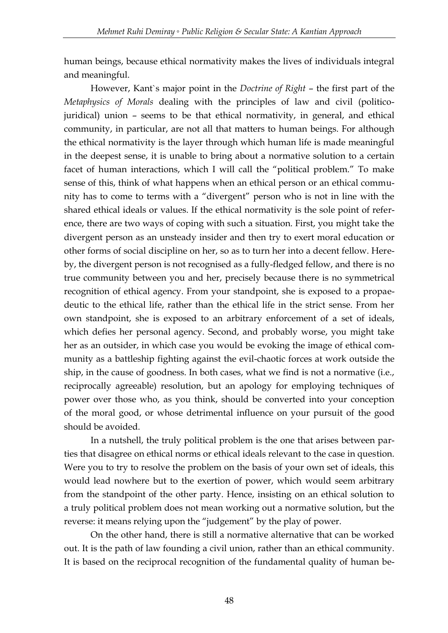human beings, because ethical normativity makes the lives of individuals integral and meaningful.

However, Kant`s major point in the *Doctrine of Right* – the first part of the *Metaphysics of Morals* dealing with the principles of law and civil (politicojuridical) union – seems to be that ethical normativity, in general, and ethical community, in particular, are not all that matters to human beings. For although the ethical normativity is the layer through which human life is made meaningful in the deepest sense, it is unable to bring about a normative solution to a certain facet of human interactions, which I will call the "political problem." To make sense of this, think of what happens when an ethical person or an ethical community has to come to terms with a "divergent" person who is not in line with the shared ethical ideals or values. If the ethical normativity is the sole point of reference, there are two ways of coping with such a situation. First, you might take the divergent person as an unsteady insider and then try to exert moral education or other forms of social discipline on her, so as to turn her into a decent fellow. Hereby, the divergent person is not recognised as a fully-fledged fellow, and there is no true community between you and her, precisely because there is no symmetrical recognition of ethical agency. From your standpoint, she is exposed to a propaedeutic to the ethical life, rather than the ethical life in the strict sense. From her own standpoint, she is exposed to an arbitrary enforcement of a set of ideals, which defies her personal agency. Second, and probably worse, you might take her as an outsider, in which case you would be evoking the image of ethical community as a battleship fighting against the evil-chaotic forces at work outside the ship, in the cause of goodness. In both cases, what we find is not a normative (i.e., reciprocally agreeable) resolution, but an apology for employing techniques of power over those who, as you think, should be converted into your conception of the moral good, or whose detrimental influence on your pursuit of the good should be avoided.

In a nutshell, the truly political problem is the one that arises between parties that disagree on ethical norms or ethical ideals relevant to the case in question. Were you to try to resolve the problem on the basis of your own set of ideals, this would lead nowhere but to the exertion of power, which would seem arbitrary from the standpoint of the other party. Hence, insisting on an ethical solution to a truly political problem does not mean working out a normative solution, but the reverse: it means relying upon the "judgement" by the play of power.

On the other hand, there is still a normative alternative that can be worked out. It is the path of law founding a civil union, rather than an ethical community. It is based on the reciprocal recognition of the fundamental quality of human be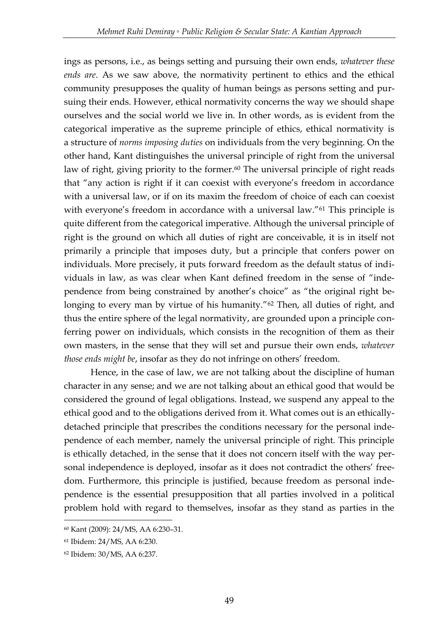ings as persons, i.e., as beings setting and pursuing their own ends, *whatever these ends are*. As we saw above, the normativity pertinent to ethics and the ethical community presupposes the quality of human beings as persons setting and pursuing their ends. However, ethical normativity concerns the way we should shape ourselves and the social world we live in. In other words, as is evident from the categorical imperative as the supreme principle of ethics, ethical normativity is a structure of *norms imposing duties* on individuals from the very beginning. On the other hand, Kant distinguishes the universal principle of right from the universal law of right, giving priority to the former.<sup>60</sup> The universal principle of right reads that "any action is right if it can coexist with everyone's freedom in accordance with a universal law, or if on its maxim the freedom of choice of each can coexist with everyone's freedom in accordance with a universal law."<sup>61</sup> This principle is quite different from the categorical imperative. Although the universal principle of right is the ground on which all duties of right are conceivable, it is in itself not primarily a principle that imposes duty, but a principle that confers power on individuals. More precisely, it puts forward freedom as the default status of individuals in law, as was clear when Kant defined freedom in the sense of "independence from being constrained by another's choice" as "the original right belonging to every man by virtue of his humanity."<sup>62</sup> Then, all duties of right, and thus the entire sphere of the legal normativity, are grounded upon a principle conferring power on individuals, which consists in the recognition of them as their own masters, in the sense that they will set and pursue their own ends, *whatever those ends might be*, insofar as they do not infringe on others' freedom.

Hence, in the case of law, we are not talking about the discipline of human character in any sense; and we are not talking about an ethical good that would be considered the ground of legal obligations. Instead, we suspend any appeal to the ethical good and to the obligations derived from it. What comes out is an ethicallydetached principle that prescribes the conditions necessary for the personal independence of each member, namely the universal principle of right. This principle is ethically detached, in the sense that it does not concern itself with the way personal independence is deployed, insofar as it does not contradict the others' freedom. Furthermore, this principle is justified, because freedom as personal independence is the essential presupposition that all parties involved in a political problem hold with regard to themselves, insofar as they stand as parties in the

<sup>60</sup> Kant (2009): 24/MS, AA 6:230–31.

<sup>61</sup> Ibidem: 24/MS, AA 6:230.

<sup>62</sup> Ibidem: 30/MS, AA 6:237.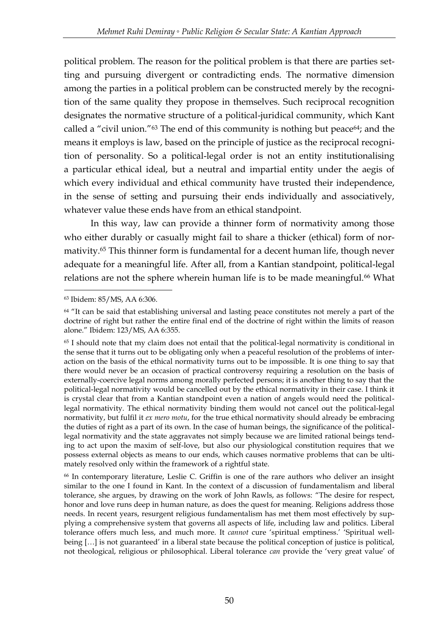political problem. The reason for the political problem is that there are parties setting and pursuing divergent or contradicting ends. The normative dimension among the parties in a political problem can be constructed merely by the recognition of the same quality they propose in themselves. Such reciprocal recognition designates the normative structure of a political-juridical community, which Kant called a "civil union." $63$  The end of this community is nothing but peace $64$ ; and the means it employs is law, based on the principle of justice as the reciprocal recognition of personality. So a political-legal order is not an entity institutionalising a particular ethical ideal, but a neutral and impartial entity under the aegis of which every individual and ethical community have trusted their independence, in the sense of setting and pursuing their ends individually and associatively, whatever value these ends have from an ethical standpoint.

In this way, law can provide a thinner form of normativity among those who either durably or casually might fail to share a thicker (ethical) form of normativity.<sup>65</sup> This thinner form is fundamental for a decent human life, though never adequate for a meaningful life. After all, from a Kantian standpoint, political-legal relations are not the sphere wherein human life is to be made meaningful.<sup>66</sup> What

<u>.</u>

<sup>63</sup> Ibidem: 85/MS, AA 6:306.

 $64$  "It can be said that establishing universal and lasting peace constitutes not merely a part of the doctrine of right but rather the entire final end of the doctrine of right within the limits of reason alone." Ibidem: 123/MS, AA 6:355.

<sup>65</sup> I should note that my claim does not entail that the political-legal normativity is conditional in the sense that it turns out to be obligating only when a peaceful resolution of the problems of interaction on the basis of the ethical normativity turns out to be impossible. It is one thing to say that there would never be an occasion of practical controversy requiring a resolution on the basis of externally-coercive legal norms among morally perfected persons; it is another thing to say that the political-legal normativity would be cancelled out by the ethical normativity in their case. I think it is crystal clear that from a Kantian standpoint even a nation of angels would need the politicallegal normativity. The ethical normativity binding them would not cancel out the political-legal normativity, but fulfil it *ex mero motu*, for the true ethical normativity should already be embracing the duties of right as a part of its own. In the case of human beings, the significance of the politicallegal normativity and the state aggravates not simply because we are limited rational beings tending to act upon the maxim of self-love, but also our physiological constitution requires that we possess external objects as means to our ends, which causes normative problems that can be ultimately resolved only within the framework of a rightful state.

<sup>66</sup> In contemporary literature, Leslie C. Griffin is one of the rare authors who deliver an insight similar to the one I found in Kant. In the context of a discussion of fundamentalism and liberal tolerance, she argues, by drawing on the work of John Rawls, as follows: "The desire for respect, honor and love runs deep in human nature, as does the quest for meaning. Religions address those needs. In recent years, resurgent religious fundamentalism has met them most effectively by supplying a comprehensive system that governs all aspects of life, including law and politics. Liberal tolerance offers much less, and much more. It *cannot* cure 'spiritual emptiness.' 'Spiritual wellbeing […] is not guaranteed' in a liberal state because the political conception of justice is political, not theological, religious or philosophical. Liberal tolerance *can* provide the 'very great value' of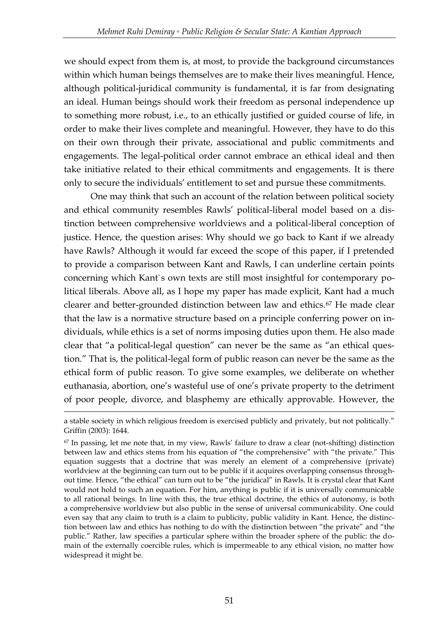we should expect from them is, at most, to provide the background circumstances within which human beings themselves are to make their lives meaningful. Hence, although political-juridical community is fundamental, it is far from designating an ideal. Human beings should work their freedom as personal independence up to something more robust, i.e., to an ethically justified or guided course of life, in order to make their lives complete and meaningful. However, they have to do this on their own through their private, associational and public commitments and engagements. The legal-political order cannot embrace an ethical ideal and then take initiative related to their ethical commitments and engagements. It is there only to secure the individuals' entitlement to set and pursue these commitments.

One may think that such an account of the relation between political society and ethical community resembles Rawls' political-liberal model based on a distinction between comprehensive worldviews and a political-liberal conception of justice. Hence, the question arises: Why should we go back to Kant if we already have Rawls? Although it would far exceed the scope of this paper, if I pretended to provide a comparison between Kant and Rawls, I can underline certain points concerning which Kant`s own texts are still most insightful for contemporary political liberals. Above all, as I hope my paper has made explicit, Kant had a much clearer and better-grounded distinction between law and ethics.<sup>67</sup> He made clear that the law is a normative structure based on a principle conferring power on individuals, while ethics is a set of norms imposing duties upon them. He also made clear that "a political-legal question" can never be the same as "an ethical question." That is, the political-legal form of public reason can never be the same as the ethical form of public reason. To give some examples, we deliberate on whether euthanasia, abortion, one's wasteful use of one's private property to the detriment of poor people, divorce, and blasphemy are ethically approvable. However, the

a stable society in which religious freedom is exercised publicly and privately, but not politically." Griffin (2003): 1644.

<sup>67</sup> In passing, let me note that, in my view, Rawls' failure to draw a clear (not-shifting) distinction between law and ethics stems from his equation of "the comprehensive" with "the private." This equation suggests that a doctrine that was merely an element of a comprehensive (private) worldview at the beginning can turn out to be public if it acquires overlapping consensus throughout time. Hence, "the ethical" can turn out to be "the juridical" in Rawls. It is crystal clear that Kant would not hold to such an equation. For him, anything is public if it is universally communicable to all rational beings. In line with this, the true ethical doctrine, the ethics of autonomy, is both a comprehensive worldview but also public in the sense of universal communicability. One could even say that any claim to truth is a claim to publicity, public validity in Kant. Hence, the distinction between law and ethics has nothing to do with the distinction between "the private" and "the public." Rather, law specifies a particular sphere within the broader sphere of the public: the domain of the externally coercible rules, which is impermeable to any ethical vision, no matter how widespread it might be.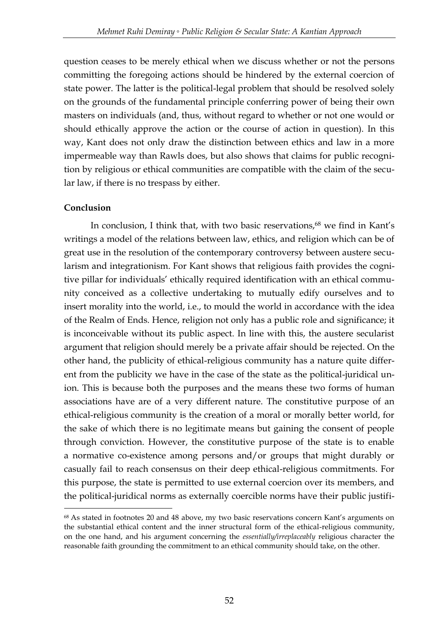question ceases to be merely ethical when we discuss whether or not the persons committing the foregoing actions should be hindered by the external coercion of state power. The latter is the political-legal problem that should be resolved solely on the grounds of the fundamental principle conferring power of being their own masters on individuals (and, thus, without regard to whether or not one would or should ethically approve the action or the course of action in question). In this way, Kant does not only draw the distinction between ethics and law in a more impermeable way than Rawls does, but also shows that claims for public recognition by religious or ethical communities are compatible with the claim of the secular law, if there is no trespass by either.

#### **Conclusion**

<u>.</u>

In conclusion, I think that, with two basic reservations,<sup>68</sup> we find in Kant's writings a model of the relations between law, ethics, and religion which can be of great use in the resolution of the contemporary controversy between austere secularism and integrationism. For Kant shows that religious faith provides the cognitive pillar for individuals' ethically required identification with an ethical community conceived as a collective undertaking to mutually edify ourselves and to insert morality into the world, i.e., to mould the world in accordance with the idea of the Realm of Ends. Hence, religion not only has a public role and significance; it is inconceivable without its public aspect. In line with this, the austere secularist argument that religion should merely be a private affair should be rejected. On the other hand, the publicity of ethical-religious community has a nature quite different from the publicity we have in the case of the state as the political-juridical union. This is because both the purposes and the means these two forms of human associations have are of a very different nature. The constitutive purpose of an ethical-religious community is the creation of a moral or morally better world, for the sake of which there is no legitimate means but gaining the consent of people through conviction. However, the constitutive purpose of the state is to enable a normative co-existence among persons and/or groups that might durably or casually fail to reach consensus on their deep ethical-religious commitments. For this purpose, the state is permitted to use external coercion over its members, and the political-juridical norms as externally coercible norms have their public justifi-

<sup>68</sup> As stated in footnotes 20 and 48 above, my two basic reservations concern Kant's arguments on the substantial ethical content and the inner structural form of the ethical-religious community, on the one hand, and his argument concerning the *essentially/irreplaceably* religious character the reasonable faith grounding the commitment to an ethical community should take, on the other.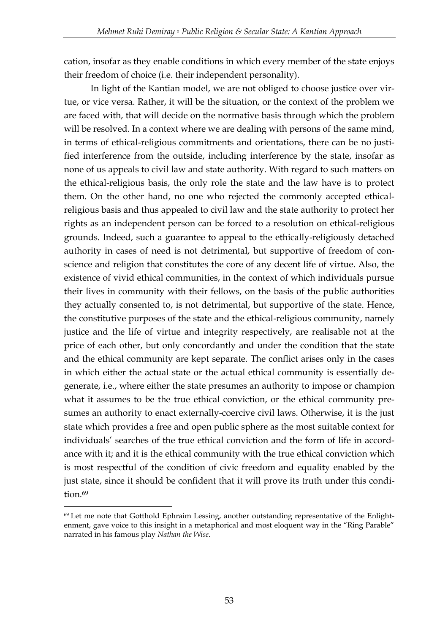cation, insofar as they enable conditions in which every member of the state enjoys their freedom of choice (i.e. their independent personality).

In light of the Kantian model, we are not obliged to choose justice over virtue, or vice versa. Rather, it will be the situation, or the context of the problem we are faced with, that will decide on the normative basis through which the problem will be resolved. In a context where we are dealing with persons of the same mind, in terms of ethical-religious commitments and orientations, there can be no justified interference from the outside, including interference by the state, insofar as none of us appeals to civil law and state authority. With regard to such matters on the ethical-religious basis, the only role the state and the law have is to protect them. On the other hand, no one who rejected the commonly accepted ethicalreligious basis and thus appealed to civil law and the state authority to protect her rights as an independent person can be forced to a resolution on ethical-religious grounds. Indeed, such a guarantee to appeal to the ethically-religiously detached authority in cases of need is not detrimental, but supportive of freedom of conscience and religion that constitutes the core of any decent life of virtue. Also, the existence of vivid ethical communities, in the context of which individuals pursue their lives in community with their fellows, on the basis of the public authorities they actually consented to, is not detrimental, but supportive of the state. Hence, the constitutive purposes of the state and the ethical-religious community, namely justice and the life of virtue and integrity respectively, are realisable not at the price of each other, but only concordantly and under the condition that the state and the ethical community are kept separate. The conflict arises only in the cases in which either the actual state or the actual ethical community is essentially degenerate, i.e., where either the state presumes an authority to impose or champion what it assumes to be the true ethical conviction, or the ethical community presumes an authority to enact externally-coercive civil laws. Otherwise, it is the just state which provides a free and open public sphere as the most suitable context for individuals' searches of the true ethical conviction and the form of life in accordance with it; and it is the ethical community with the true ethical conviction which is most respectful of the condition of civic freedom and equality enabled by the just state, since it should be confident that it will prove its truth under this condition.<sup>69</sup>

<sup>69</sup> Let me note that Gotthold Ephraim Lessing, another outstanding representative of the Enlightenment, gave voice to this insight in a metaphorical and most eloquent way in the "Ring Parable" narrated in his famous play *Nathan the Wise*.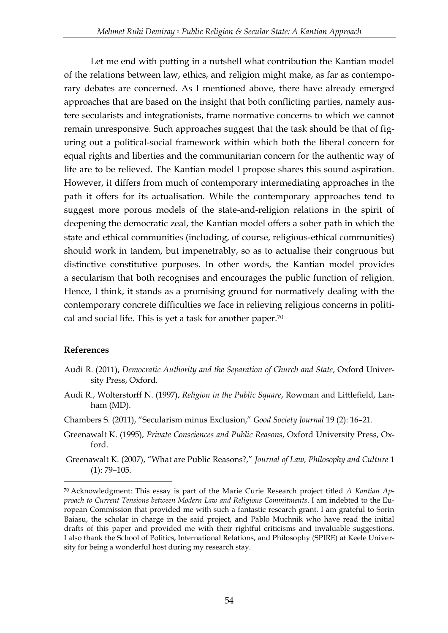Let me end with putting in a nutshell what contribution the Kantian model of the relations between law, ethics, and religion might make, as far as contemporary debates are concerned. As I mentioned above, there have already emerged approaches that are based on the insight that both conflicting parties, namely austere secularists and integrationists, frame normative concerns to which we cannot remain unresponsive. Such approaches suggest that the task should be that of figuring out a political-social framework within which both the liberal concern for equal rights and liberties and the communitarian concern for the authentic way of life are to be relieved. The Kantian model I propose shares this sound aspiration. However, it differs from much of contemporary intermediating approaches in the path it offers for its actualisation. While the contemporary approaches tend to suggest more porous models of the state-and-religion relations in the spirit of deepening the democratic zeal, the Kantian model offers a sober path in which the state and ethical communities (including, of course, religious-ethical communities) should work in tandem, but impenetrably, so as to actualise their congruous but distinctive constitutive purposes. In other words, the Kantian model provides a secularism that both recognises and encourages the public function of religion. Hence, I think, it stands as a promising ground for normatively dealing with the contemporary concrete difficulties we face in relieving religious concerns in political and social life. This is yet a task for another paper.<sup>70</sup>

### **References**

- Audi R. (2011), *Democratic Authority and the Separation of Church and State*, Oxford University Press, Oxford.
- Audi R., Wolterstorff N. (1997), *Religion in the Public Square*, Rowman and Littlefield, Lanham (MD).
- Chambers S. (2011), "Secularism minus Exclusion," *Good Society Journal* 19 (2): 16–21.
- Greenawalt K. (1995), *Private Consciences and Public Reasons*, Oxford University Press, Oxford.
- Greenawalt K. (2007), "What are Public Reasons?," *Journal of Law, Philosophy and Culture* 1 (1): 79–105.

<sup>70</sup> Acknowledgment: This essay is part of the Marie Curie Research project titled *A Kantian Approach to Current Tensions between Modern Law and Religious Commitments*. I am indebted to the European Commission that provided me with such a fantastic research grant. I am grateful to Sorin Baiasu, the scholar in charge in the said project, and Pablo Muchnik who have read the initial drafts of this paper and provided me with their rightful criticisms and invaluable suggestions. I also thank the School of Politics, International Relations, and Philosophy (SPIRE) at Keele University for being a wonderful host during my research stay.